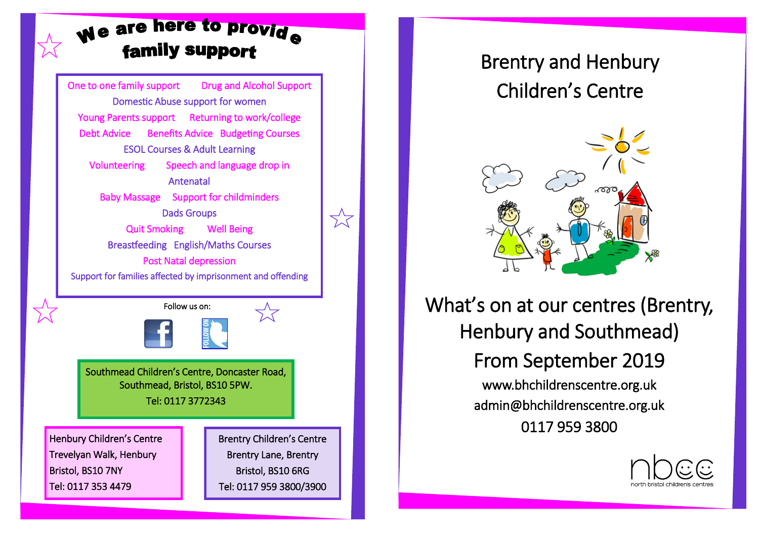## We are here to provide **family support**

One to one family support Drug and Alcohol Support Domestic Abuse support for women Young Parents support Returning to work/college Debt Advice Benefits Advice Budgeting Courses ESOL Courses & Adult Learning Volunteering Speech and language drop in Antenatal Baby Massage Support for childminders Dads Groups Quit Smoking Well Being Breastfeeding English/Maths Courses Post Natal depression Support for families affected by imprisonment and offending Henbury Children's Centre Trevelyan Walk, Henbury Bristol, BS10 7NY Tel: 0117 353 4479 Brentry Children's Centre Brentry Lane, Brentry Bristol, BS10 6RG Tel: 0117 959 3800/3900 Southmead Children's Centre, Doncaster Road, Southmead, Bristol, BS10 5PW. Tel: 0117 3772343 Follow us on:

 $\sum'$ 

## Brentry and Henbury Children's Centre



What's on at our centres (Brentry, Henbury and Southmead) From September 2019 www.bhchildrenscentre.org.uk admin@bhchildrenscentre.org.uk 0117 959 3800